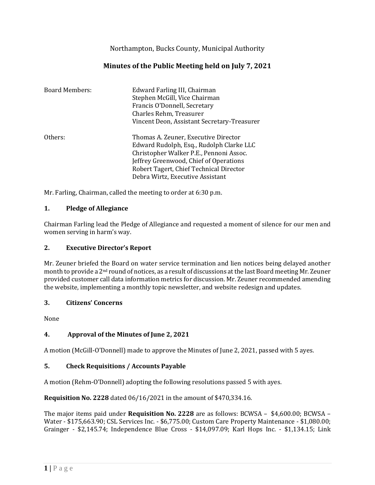Northampton, Bucks County, Municipal Authority

# **Minutes of the Public Meeting held on July 7, 2021**

| <b>Board Members:</b> | Edward Farling III, Chairman<br>Stephen McGill, Vice Chairman<br>Francis O'Donnell, Secretary<br>Charles Rehm, Treasurer<br>Vincent Deon, Assistant Secretary-Treasurer                                                                              |
|-----------------------|------------------------------------------------------------------------------------------------------------------------------------------------------------------------------------------------------------------------------------------------------|
| Others:               | Thomas A. Zeuner, Executive Director<br>Edward Rudolph, Esq., Rudolph Clarke LLC<br>Christopher Walker P.E., Pennoni Assoc.<br>Jeffrey Greenwood, Chief of Operations<br>Robert Tagert, Chief Technical Director<br>Debra Wirtz, Executive Assistant |

Mr. Farling, Chairman, called the meeting to order at 6:30 p.m.

### **1. Pledge of Allegiance**

Chairman Farling lead the Pledge of Allegiance and requested a moment of silence for our men and women serving in harm's way.

#### **2. Executive Director's Report**

Mr. Zeuner briefed the Board on water service termination and lien notices being delayed another month to provide a 2nd round of notices, as a result of discussions at the last Board meeting Mr. Zeuner provided customer call data information metrics for discussion. Mr. Zeuner recommended amending the website, implementing a monthly topic newsletter, and website redesign and updates.

#### **3. Citizens' Concerns**

None

## **4. Approval of the Minutes of June 2, 2021**

A motion (McGill-O'Donnell) made to approve the Minutes of June 2, 2021, passed with 5 ayes.

#### **5. Check Requisitions / Accounts Payable**

A motion (Rehm-O'Donnell) adopting the following resolutions passed 5 with ayes.

**Requisition No. 2228** dated 06/16/2021 in the amount of \$470,334.16.

The major items paid under **Requisition No. 2228** are as follows: BCWSA – \$4,600.00; BCWSA – Water - \$175,663.90; CSL Services Inc. - \$6,775.00; Custom Care Property Maintenance - \$1,080.00; Grainger - \$2,145.74; Independence Blue Cross - \$14,097.09; Karl Hops Inc. - \$1,134.15; Link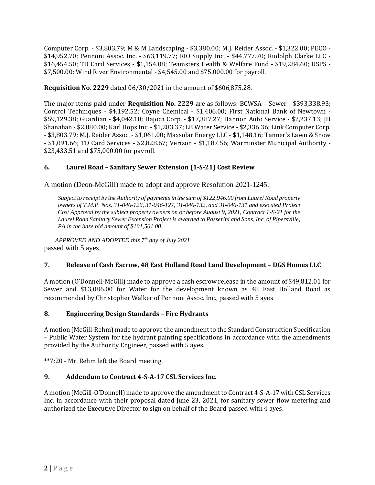Computer Corp. - \$3,803.79; M & M Landscaping - \$3,380.00; M.J. Reider Assoc. - \$1,322.00; PECO - \$14,952.70; Pennoni Assoc. Inc. - \$63,119.77; RIO Supply Inc. - \$44,777.70; Rudolph Clarke LLC - \$16,454.50; TD Card Services - \$1,154.08; Teamsters Health & Welfare Fund - \$19,284.60; USPS - \$7,500.00; Wind River Environmental - \$4,545.00 and \$75,000.00 for payroll.

**Requisition No. 2229** dated 06/30/2021 in the amount of \$606,875.28.

The major items paid under **Requisition No. 2229** are as follows: BCWSA – Sewer - \$393,338.93; Control Techniques - \$4,192.52; Coyne Chemical - \$1,406.00; First National Bank of Newtown - \$59,129.38; Guardian - \$4,042.18; Hajoca Corp. - \$17,387.27; Hannon Auto Service - \$2,237.13; JH Shanahan - \$2.080.00; Karl Hops Inc. - \$1,283.37; LB Water Service - \$2,336.36; Link Computer Corp. - \$3,803.79; M.J. Reider Assoc. - \$1,061.00; Maxsolar Energy LLC - \$1,148.16; Tanner's Lawn & Snow - \$1,091.66; TD Card Services - \$2,828.67; Verizon - \$1,187.56; Warminster Municipal Authority - \$23,433.51 and \$75,000.00 for payroll.

## **6. Laurel Road – Sanitary Sewer Extension (1-S-21) Cost Review**

A motion (Deon-McGill) made to adopt and approve Resolution 2021-1245:

*Subject to receipt by the Authority of payments in the sum of \$122,946.00 from Laurel Road property owners of T.M.P. Nos. 31-046-126, 31-046-127, 31-046-132, and 31-046-131 and executed Project Cost Approval by the subject property owners on or before August 9, 2021, Contract 1-S-21 for the Laurel Road Sanitary Sewer Extension Project is awarded to Passerini and Sons, Inc. of Pipersville, PA in the base bid amount of \$101,561.00.*

*APPROVED AND ADOPTED this 7th day of July 2021* passed with 5 ayes.

#### **7. Release of Cash Escrow, 48 East Holland Road Land Development – DGS Homes LLC**

A motion (O'Donnell-McGill) made to approve a cash escrow release in the amount of \$49,812.01 for Sewer and \$13,086.00 for Water for the development known as 48 East Holland Road as recommended by Christopher Walker of Pennoni Assoc. Inc., passed with 5 ayes

#### **8. Engineering Design Standards – Fire Hydrants**

A motion (McGill-Rehm) made to approve the amendment to the Standard Construction Specification – Public Water System for the hydrant painting specifications in accordance with the amendments provided by the Authority Engineer, passed with 5 ayes.

\*\*7:20 - Mr. Rehm left the Board meeting.

## **9. Addendum to Contract 4-S-A-17 CSL Services Inc.**

A motion (McGill-O'Donnell) made to approve the amendment to Contract 4-S-A-17 with CSL Services Inc. in accordance with their proposal dated June 23, 2021, for sanitary sewer flow metering and authorized the Executive Director to sign on behalf of the Board passed with 4 ayes.